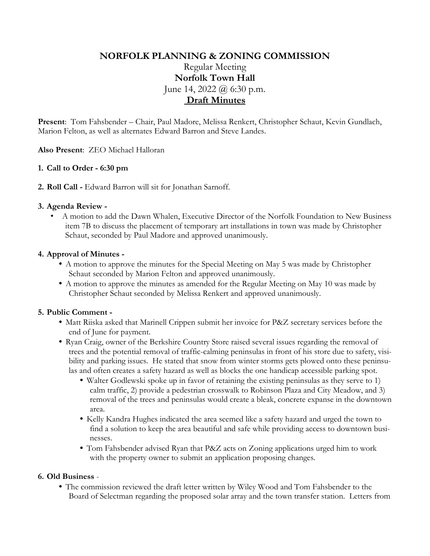# **NORFOLK PLANNING & ZONING COMMISSION** Regular Meeting **Norfolk Town Hall** June 14, 2022  $(a)$  6:30 p.m. **Draft Minutes**

**Present**: Tom Fahsbender – Chair, Paul Madore, Melissa Renkert, Christopher Schaut, Kevin Gundlach, Marion Felton, as well as alternates Edward Barron and Steve Landes.

**Also Present**: ZEO Michael Halloran

## **1. Call to Order - 6:30 pm**

**2. Roll Call -** Edward Barron will sit for Jonathan Sarnoff.

## **3. Agenda Review -**

• A motion to add the Dawn Whalen, Executive Director of the Norfolk Foundation to New Business item 7B to discuss the placement of temporary art installations in town was made by Christopher Schaut, seconded by Paul Madore and approved unanimously.

### **4. Approval of Minutes -**

- **•** A motion to approve the minutes for the Special Meeting on May 5 was made by Christopher Schaut seconded by Marion Felton and approved unanimously.
- **•** A motion to approve the minutes as amended for the Regular Meeting on May 10 was made by Christopher Schaut seconded by Melissa Renkert and approved unanimously.

#### **5. Public Comment -**

- **•** Matt Riiska asked that Marinell Crippen submit her invoice for P&Z secretary services before the end of June for payment.
- Ryan Craig, owner of the Berkshire Country Store raised several issues regarding the removal of trees and the potential removal of traffic-calming peninsulas in front of his store due to safety, visibility and parking issues. He stated that snow from winter storms gets plowed onto these peninsulas and often creates a safety hazard as well as blocks the one handicap accessible parking spot.
	- Walter Godlewski spoke up in favor of retaining the existing peninsulas as they serve to 1) calm traffic, 2) provide a pedestrian crosswalk to Robinson Plaza and City Meadow, and 3) removal of the trees and peninsulas would create a bleak, concrete expanse in the downtown area.
	- **•** Kelly Kandra Hughes indicated the area seemed like a safety hazard and urged the town to find a solution to keep the area beautiful and safe while providing access to downtown businesses.
	- **•** Tom Fahsbender advised Ryan that P&Z acts on Zoning applications urged him to work with the property owner to submit an application proposing changes.

#### **6. Old Business** -

**•** The commission reviewed the draft letter written by Wiley Wood and Tom Fahsbender to the Board of Selectman regarding the proposed solar array and the town transfer station. Letters from